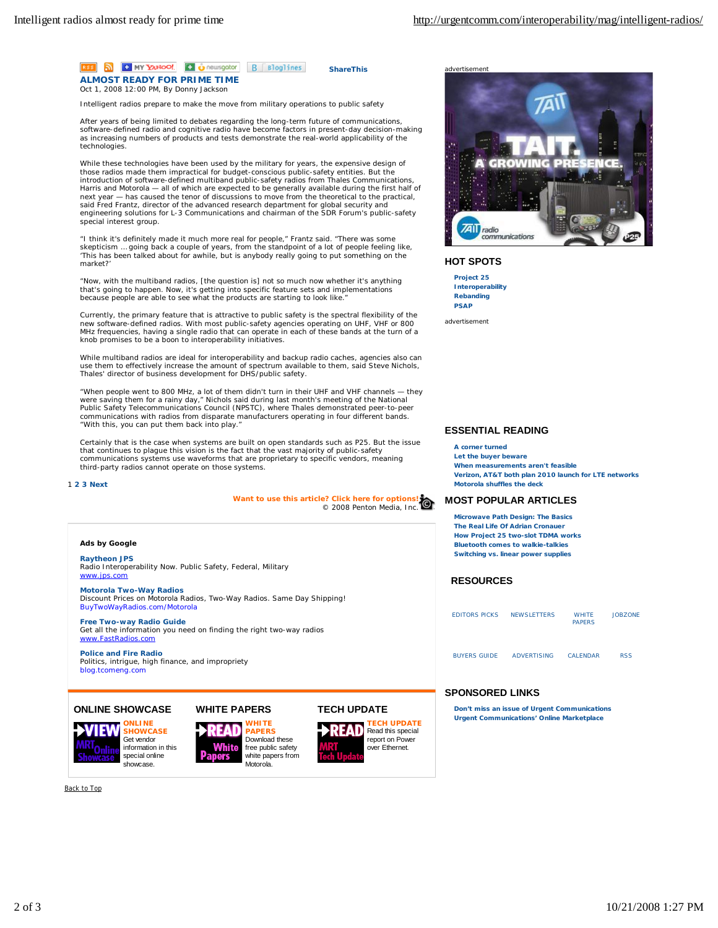

Intelligent radios prepare to make the move from military operations to public safety

After years of being limited to debates regarding the long-term future of communications, software-defined radio and cognitive radio have become factors in present-day decision-making as increasing numbers of products and tests demonstrate the real-world applicability of the technologies.

While these technologies have been used by the military for years, the expensive design of those radios made them impractical for budget-conscious public-safety entities. But the<br>introduction of software-defined multiband public-safety radios from Thales Communications,<br>Harris and Motorola — all of which are exp next year — has caused the tenor of discussions to move from the theoretical to the practical, said Fred Frantz, director of the advanced research department for global security and engineering solutions for L-3 Communications and chairman of the SDR Forum's public-safety special interest group.

"I think it's definitely made it much more real for people," Frantz said. "There was some skepticism … going back a couple of years, from the standpoint of a lot of people feeling like, 'This has been talked about for awhile, but is anybody really going to put something on the market?

"Now, with the multiband radios, [the question is] not so much now whether it's anything that's going to happen. Now, it's getting into specific feature sets and implementations because people are able to see what the products are starting to look like.

Currently, the primary feature that is attractive to public safety is the spectral flexibility of the new software-defined radios. With most public-safety agencies operating on UHF, VHF or 800 MHz frequencies, having a single radio that can operate in each of these bands at the turn of a knob promises to be a boon to interoperability initiatives.

While multiband radios are ideal for interoperability and backup radio caches, agencies also can use them to effectively increase the amount of spectrum available to them, said Steve Nichols, Thales' director of business development for DHS/public safety.

"When people went to 800 MHz, a lot of them didn't turn in their UHF and VHF channels — they were saving them for a rainy day," Nichols said during last month's meeting of the National Public Safety Telecommunications Council (NPSTC), where Thales demonstrated peer-to-peer communications with radios from disparate manufacturers operating in four different bands. "With this, you can put them back into play."

Certainly that is the case when systems are built on open standards such as P25. But the issue that continues to plague this vision is the fact that the vast majority of public-safety communications systems use waveforms that are proprietary to specific vendors, meaning third-party radios cannot operate on those systems.

#### 1 **2 3 Next**

**Want to use this article? Click here for options!** © 2008 Penton Media, Inc.

#### **Ads by Google**

**Raytheon JPS** Radio Interoperability Now. Public Safety, Federal, Military [www.jps.com](http://www.jps.com)

**Motorola Two-Way Radios** Discount Prices on Motorola Radios, Two-Way Radios. Same Day Shipping! BuyTwoWayRadios.com/Motorola

**Free Two-way Radio Guide** Get all the information you need on finding the right two-way radios [www.FastRadios.com](http://www.FastRadios.com)

**Police and Fire Radio** Politics, intrigue, high finance, and impropriety blog.tcomeng.com

# **ONLINE SHOWCASE**



**ONLINE SHOWCASE** Get vendor information in this special online showcase.





**TECH UPDATE ECH UPDATE** ΔD Read this special report on Power over Ethernet.



#### **HOT SPOTS**

**Project 25 Interoperability Rebanding PSAP**

advertisement

# **ESSENTIAL READING**

#### **A corner turned**

**Let the buyer beware When measurements aren't feasible Verizon, AT&T both plan 2010 launch for LTE networks Motorola shuffles the deck**

#### **MOST POPULAR ARTICLES**

**Microwave Path Design: The Basics The Real Life Of Adrian Cronauer How Project 25 two-slot TDMA works Bluetooth comes to walkie-talkies Switching vs. linear power supplies**

## **RESOURCES**

| <b>EDITORS PICKS</b> | <b>NEWSLETTERS</b> | <b>WHITE</b><br><b>PAPERS</b> | <b>JOBZONE</b> |
|----------------------|--------------------|-------------------------------|----------------|
| <b>BUYERS GUIDE</b>  | <b>ADVERTISING</b> | <b>CALENDAR</b>               | <b>RSS</b>     |

#### **SPONSORED LINKS**

**Don't miss an issue of Urgent Communications Urgent Communications' Online Marketplace**

Back to Top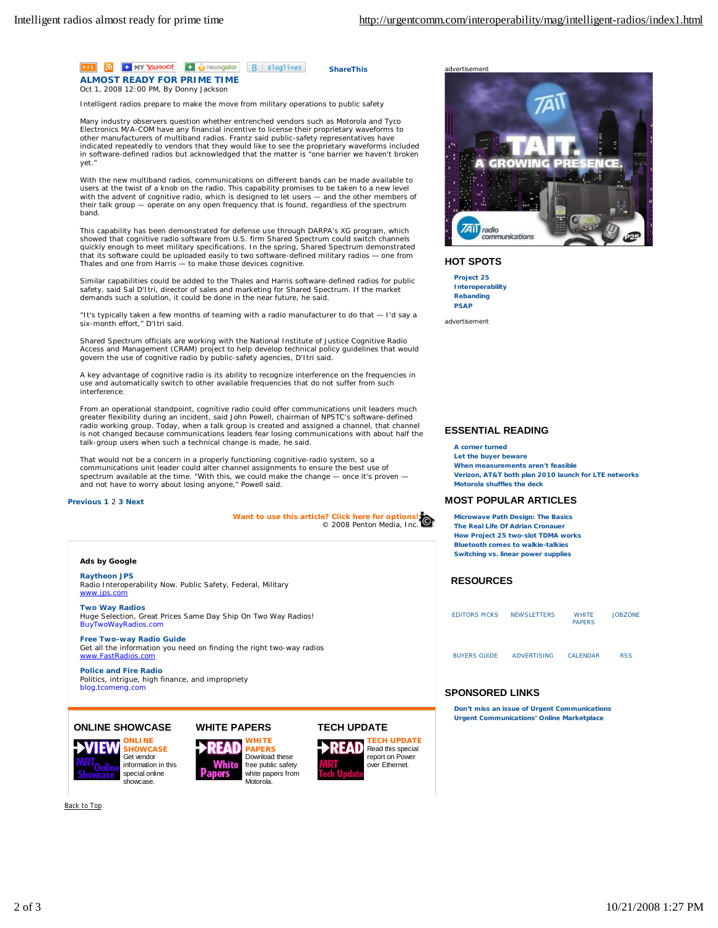

Intelligent radios prepare to make the move from military operations to public safety

Many industry observers question whether entrenched vendors such as Motorola and Tyco Electronics M/A-COM have any financial incentive to license their proprietary waveforms to other manufacturers of multiband radios. Frantz said public-safety representatives have indicated repeatedly to vendors that they would like to see the proprietary waveforms included in software-defined radios but acknowledged that the matter is "one barrier we haven't broken yet."

With the new multiband radios, communications on different bands can be made available to users at the twist of a knob on the radio. This capability promises to be taken to a new level with the advent of cognitive radio, which is designed to let users — and the other members of their talk group — operate on any open frequency that is found, regardless of the spectrum band.

This capability has been demonstrated for defense use through DARPA's XG program, which showed that cognitive radio software from U.S. firm Shared Spectrum could switch channels quickly enough to meet military specifications. In the spring, Shared Spectrum demonstrated that its software could be uploaded easily to two software-defined military radios — one from Thales and one from Harris — to make those devices cognitive.

Similar capabilities could be added to the Thales and Harris software-defined radios for public safety, said Sal D'Itri, director of sales and marketing for Shared Spectrum. If the market demands such a solution, it could be done in the near future, he said.

"It's typically taken a few months of teaming with a radio manufacturer to do that — I'd say a six-month effort," D'Itri said.

Shared Spectrum officials are working with the National Institute of Justice Cognitive Radio Access and Management (CRAM) project to help develop technical policy guidelines that would govern the use of cognitive radio by public-safety agencies, D'Itri said.

A key advantage of cognitive radio is its ability to recognize interference on the frequencies in use and automatically switch to other available frequencies that do not suffer from such interference.

From an operational standpoint, cognitive radio could offer communications unit leaders much greater flexibility during an incident, said John Powell, chairman of NPSTC's software-defined radio working group. Today, when a talk group is created and assigned a channel, that channel is not changed because communications leaders fear losing communications with about half the talk-group users when such a technical change is made, he said.

That would not be a concern in a properly functioning cognitive-radio system, so a communications unit leader could alter channel assignments to ensure the best use of spectrum available at the time. "With this, we could make the change — once it's proven and not have to worry about losing anyone," Powell said.

## **Previous 1** 2 **3 Next**

**Want to use this article? Click here for options!** © 2008 Penton Media, Inc.

#### **Ads by Google**

**Raytheon JPS** Radio Interoperability Now. Public Safety, Federal, Military [www.jps.com](http://www.jps.com)

**Two Way Radios** Huge Selection, Great Prices Same Day Ship On Two Way Radios! BuyTwoWayRadios.com

**Free Two-way Radio Guide** Get all the information you need on finding the right two-way radios [www.FastRadios.com](http://www.FastRadios.com)

**Police and Fire Radio** Politics, intrigue, high finance, and impropriety blog.tcomeng.com

# **ONLINE SHOWCASE**





Download these free public safety white papers from

Motorola.







#### **HOT SPOTS**

**Project 25 Interoperability Rebanding PSAP**

advertisement

# **ESSENTIAL READING**

#### **A corner turned**

**Let the buyer beware When measurements aren't feasible Verizon, AT&T both plan 2010 launch for LTE networks Motorola shuffles the deck**

#### **MOST POPULAR ARTICLES**

**Microwave Path Design: The Basics The Real Life Of Adrian Cronauer How Project 25 two-slot TDMA works Bluetooth comes to walkie-talkies Switching vs. linear power supplies**

## **RESOURCES**

| <b>EDITORS PICKS</b> | <b>NEWSLETTERS</b> | <b>WHITE</b><br><b>PAPERS</b> | <b>JOBZONE</b> |
|----------------------|--------------------|-------------------------------|----------------|
| <b>BUYERS GUIDE</b>  | <b>ADVERTISING</b> | <b>CALENDAR</b>               | <b>RSS</b>     |

## **SPONSORED LINKS**

**Don't miss an issue of Urgent Communications Urgent Communications' Online Marketplace**